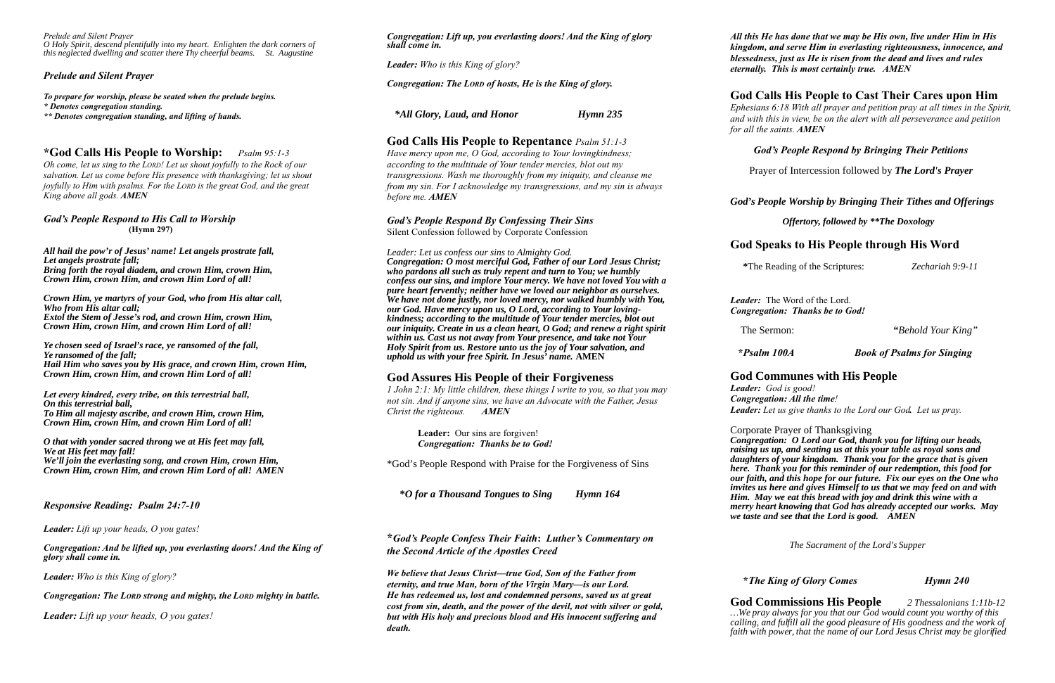*Prelude and Silent Prayer O Holy Spirit, descend plentifully into my heart. Enlighten the dark corners of this neglected dwelling and scatter there Thy cheerful beams. St. Augustine*

### *Prelude and Silent Prayer*

*To prepare for worship, please be seated when the prelude begins.*

*\* Denotes congregation standing.*

*\*\* Denotes congregation standing, and lifting of hands.*

# **\*God Calls His People to Worship:** *Psalm 95:1-3*

*Oh come, let us sing to the LORD! Let us shout joyfully to the Rock of our salvation. Let us come before His presence with thanksgiving; let us shout joyfully to Him with psalms. For the LORD is the great God, and the great King above all gods. AMEN*

### *God's People Respond to His Call to Worship*  **(Hymn 297)**

*All hail the pow'r of Jesus' name! Let angels prostrate fall, Let angels prostrate fall; Bring forth the royal diadem, and crown Him, crown Him, Crown Him, crown Him, and crown Him Lord of all!*

*Crown Him, ye martyrs of your God, who from His altar call, Who from His altar call; Extol the Stem of Jesse's rod, and crown Him, crown Him, Crown Him, crown Him, and crown Him Lord of all!*

*Ye chosen seed of Israel's race, ye ransomed of the fall, Ye ransomed of the fall; Hail Him who saves you by His grace, and crown Him, crown Him, Crown Him, crown Him, and crown Him Lord of all!*

*Let every kindred, every tribe, on this terrestrial ball, On this terrestrial ball, To Him all majesty ascribe, and crown Him, crown Him, Crown Him, crown Him, and crown Him Lord of all!*

*O that with yonder sacred throng we at His feet may fall, We at His feet may fall! We'll join the everlasting song, and crown Him, crown Him, Crown Him, crown Him, and crown Him Lord of all! AMEN* 

### *Responsive Reading: Psalm 24:7-10*

*Leader: Lift up your heads, O you gates!*

*Congregation: And be lifted up, you everlasting doors! And the King of glory shall come in.*

*Leader: Who is this King of glory?*

*Congregation: The LORD strong and mighty, the LORD mighty in battle.*

*Leader: Lift up your heads, O you gates!*

*Congregation: Lift up, you everlasting doors! And the King of glory shall come in.*

*Leader: Who is this King of glory?*

*Congregation: The LORD of hosts, He is the King of glory.* 

 *\*All Glory, Laud, and Honor Hymn 235*

# **God Calls His People to Repentance** *Psalm 51:1-3*

*Have mercy upon me, O God, according to Your lovingkindness; according to the multitude of Your tender mercies, blot out my transgressions. Wash me thoroughly from my iniquity, and cleanse me from my sin. For I acknowledge my transgressions, and my sin is always before me. AMEN*

### *God's People Respond By Confessing Their Sins*  Silent Confession followed by Corporate Confession

### *Leader: Let us confess our sins to Almighty God.*

*Congregation: O most merciful God, Father of our Lord Jesus Christ; who pardons all such as truly repent and turn to You; we humbly confess our sins, and implore Your mercy. We have not loved You with a pure heart fervently; neither have we loved our neighbor as ourselves. We have not done justly, nor loved mercy, nor walked humbly with You, our God. Have mercy upon us, O Lord, according to Your lovingkindness; according to the multitude of Your tender mercies, blot out our iniquity. Create in us a clean heart, O God; and renew a right spirit within us. Cast us not away from Your presence, and take not Your Holy Spirit from us. Restore unto us the joy of Your salvation, and uphold us with your free Spirit. In Jesus' name.* **AMEN**

# **God Assures His People of their Forgiveness**

*1 John 2:1: My little children, these things I write to you, so that you may not sin. And if anyone sins, we have an Advocate with the Father, Jesus Christ the righteous. AMEN*

> **Leader:** Our sins are forgiven! *Congregation: Thanks be to God!*

\*God's People Respond with Praise for the Forgiveness of Sins

 **\****O for a Thousand Tongues to Sing Hymn 164*

**\****God's People Confess Their Faith***:** *Luther's Commentary on the Second Article of the Apostles Creed*

*We believe that Jesus Christ—true God, Son of the Father from eternity, and true Man, born of the Virgin Mary—is our Lord. He has redeemed us, lost and condemned persons, saved us at great cost from sin, death, and the power of the devil, not with silver or gold, but with His holy and precious blood and His innocent suffering and death.* 

*All this He has done that we may be His own, live under Him in His kingdom, and serve Him in everlasting righteousness, innocence, and blessedness, just as He is risen from the dead and lives and rules eternally. This is most certainly true. AMEN*

## **God Calls His People to Cast Their Cares upon Him**

*Ephesians 6:18 With all prayer and petition pray at all times in the Spirit, and with this in view, be on the alert with all perseverance and petition for all the saints. AMEN*

## *God's People Respond by Bringing Their Petitions*

Prayer of Intercession followed by *The Lord's Prayer*

*God's People Worship by Bringing Their Tithes and Offerings*

*Offertory, followed by \*\*The Doxology*

# **God Speaks to His People through His Word**

 **\***The Reading of the Scriptures: *Zechariah 9:9-11*

*Leader:*The Word of the Lord. *Congregation: Thanks be to God!*

The Sermon:*"Behold Your King"*

 **\****Psalm 100A Book of Psalms for Singing*

# **God Communes with His People**

# *Leader: God is good!*

*Congregation: All the time! Leader: Let us give thanks to the Lord our God. Let us pray.*

Corporate Prayer of Thanksgiving *Congregation: O Lord our God, thank you for lifting our heads, raising us up, and seating us at this your table as royal sons and daughters of your kingdom. Thank you for the grace that is given here. Thank you for this reminder of our redemption, this food for our faith, and this hope for our future. Fix our eyes on the One who invites us here and gives Himself to us that we may feed on and with Him. May we eat this bread with joy and drink this wine with a merry heart knowing that God has already accepted our works. May we taste and see that the Lord is good. AMEN*

 *The Sacrament of the Lord's Supper*

### **\****The King of Glory Comes**Hymn 240*

**God Commissions His People** *2 Thessalonians 1:11b-12 …We pray always for you that our God would count you worthy of this calling, and fulfill all the good pleasure of His goodness and the work of faith with power, that the name of our Lord Jesus Christ may be glorified*